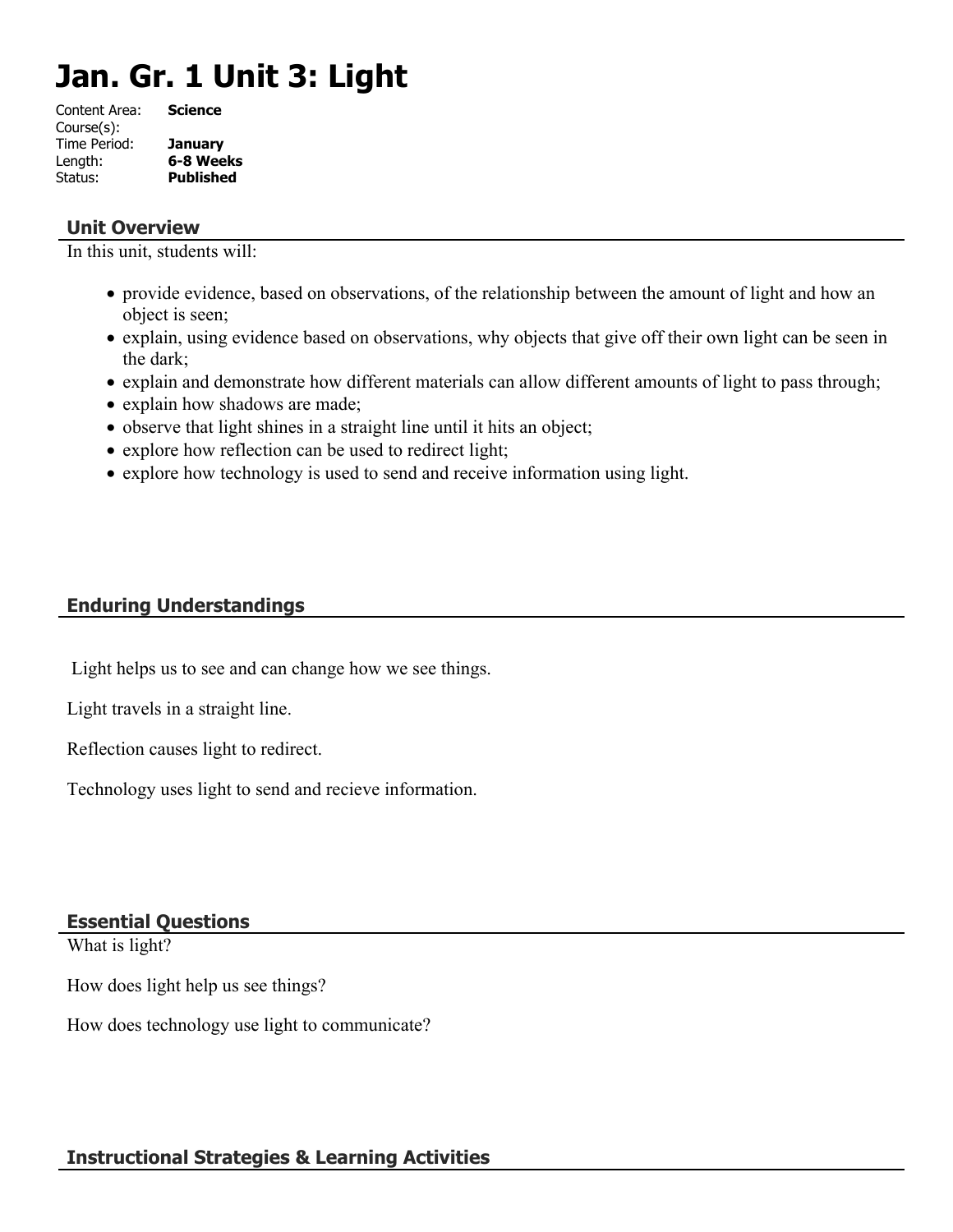# **Jan. Gr. 1 Unit 3: Light**

| Content Area: | <b>Science</b>   |
|---------------|------------------|
| Course(s):    |                  |
| Time Period:  | <b>January</b>   |
| Length:       | 6-8 Weeks        |
| Status:       | <b>Published</b> |
|               |                  |

# **Unit Overview**

In this unit, students will:

- provide evidence, based on observations, of the relationship between the amount of light and how an object is seen;
- explain, using evidence based on observations, why objects that give off their own light can be seen in the dark;
- explain and demonstrate how different materials can allow different amounts of light to pass through;
- explain how shadows are made;
- observe that light shines in a straight line until it hits an object;
- explore how reflection can be used to redirect light;
- explore how technology is used to send and receive information using light.

# **Enduring Understandings**

Light helps us to see and can change how we see things.

Light travels in a straight line.

Reflection causes light to redirect.

Technology uses light to send and recieve information.

# **Essential Questions**

What is light?

How does light help us see things?

How does technology use light to communicate?

# **Instructional Strategies & Learning Activities**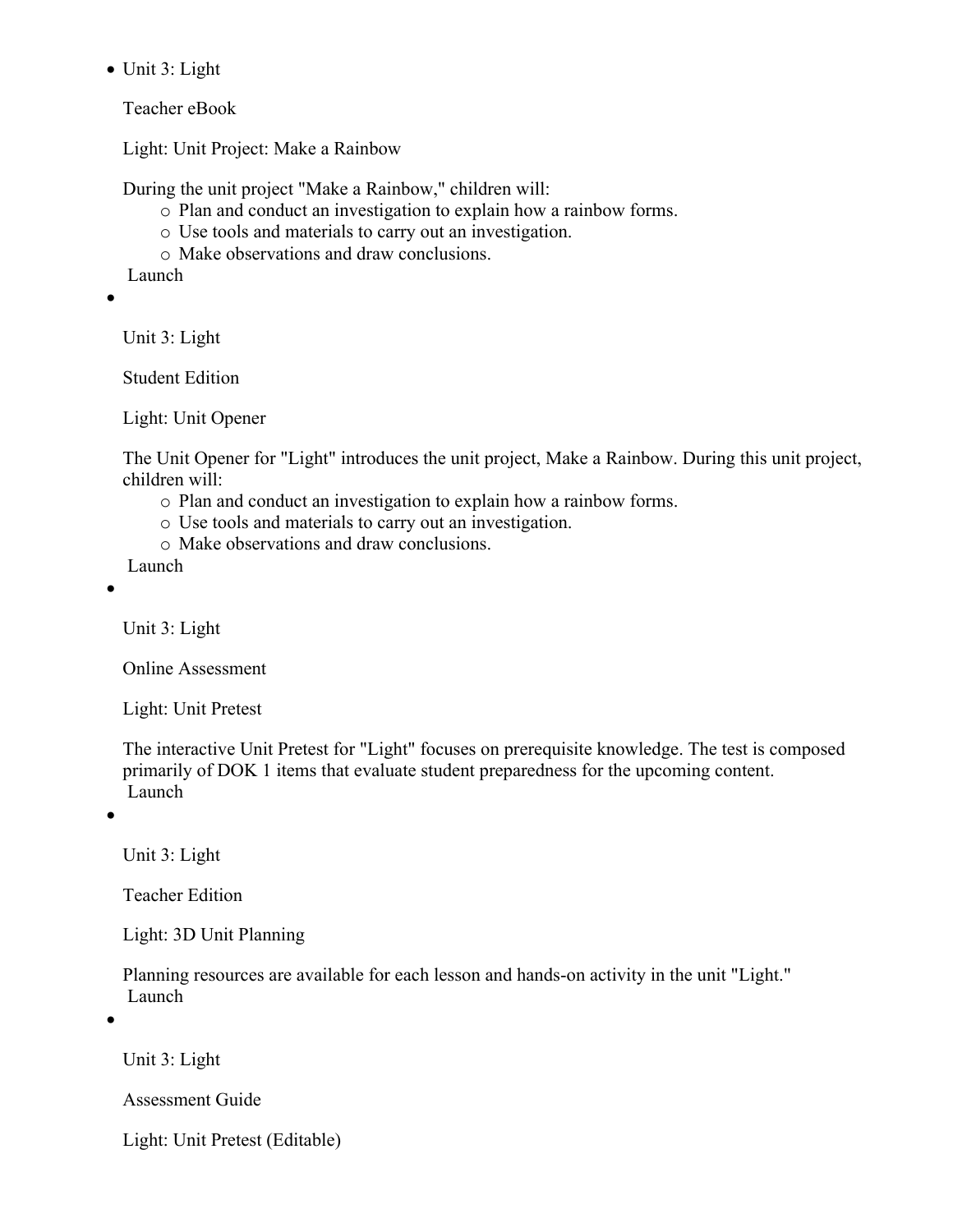• Unit 3: Light

Teacher eBook

Light: Unit Project: Make a Rainbow

During the unit project "Make a Rainbow," children will:

- o Plan and conduct an investigation to explain how a rainbow forms.
- o Use tools and materials to carry out an investigation.
- o Make observations and draw conclusions.

Launch

 $\bullet$ 

Unit 3: Light

Student Edition

Light: Unit Opener

The Unit Opener for "Light" introduces the unit project, Make a Rainbow. During this unit project, children will:

- o Plan and conduct an investigation to explain how a rainbow forms.
- o Use tools and materials to carry out an investigation.
- o Make observations and draw conclusions.

Launch

 $\bullet$ 

Unit 3: Light

Online Assessment

Light: Unit Pretest

The interactive Unit Pretest for "Light" focuses on prerequisite knowledge. The test is composed primarily of DOK 1 items that evaluate student preparedness for the upcoming content. Launch

 $\bullet$ 

Unit 3: Light

Teacher Edition

Light: 3D Unit Planning

Planning resources are available for each lesson and hands-on activity in the unit "Light." Launch

 $\bullet$ 

Unit 3: Light

Assessment Guide

Light: Unit Pretest (Editable)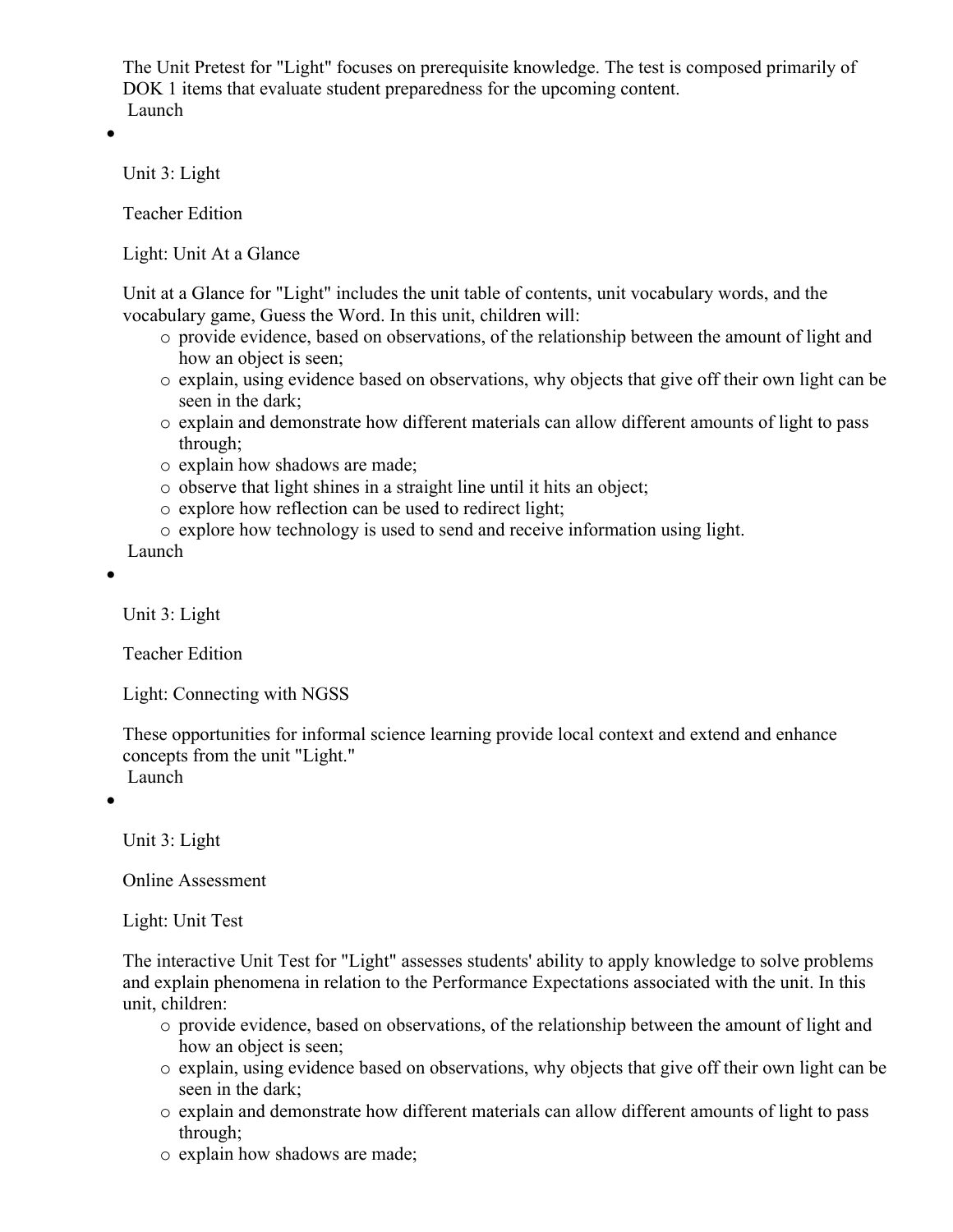The Unit Pretest for "Light" focuses on prerequisite knowledge. The test is composed primarily of DOK 1 items that evaluate student preparedness for the upcoming content. Launch

 $\bullet$ 

Unit 3: Light

Teacher Edition

Light: Unit At a Glance

Unit at a Glance for "Light" includes the unit table of contents, unit vocabulary words, and the vocabulary game, Guess the Word. In this unit, children will:

- o provide evidence, based on observations, of the relationship between the amount of light and how an object is seen;
- o explain, using evidence based on observations, why objects that give off their own light can be seen in the dark;
- o explain and demonstrate how different materials can allow different amounts of light to pass through;
- o explain how shadows are made;
- o observe that light shines in a straight line until it hits an object;
- o explore how reflection can be used to redirect light;
- o explore how technology is used to send and receive information using light.

Launch

 $\bullet$ 

Unit 3: Light

Teacher Edition

Light: Connecting with NGSS

These opportunities for informal science learning provide local context and extend and enhance concepts from the unit "Light." Launch

 $\bullet$ 

Unit 3: Light

Online Assessment

Light: Unit Test

The interactive Unit Test for "Light" assesses students' ability to apply knowledge to solve problems and explain phenomena in relation to the Performance Expectations associated with the unit. In this unit, children:

- o provide evidence, based on observations, of the relationship between the amount of light and how an object is seen;
- o explain, using evidence based on observations, why objects that give off their own light can be seen in the dark;
- o explain and demonstrate how different materials can allow different amounts of light to pass through;
- o explain how shadows are made;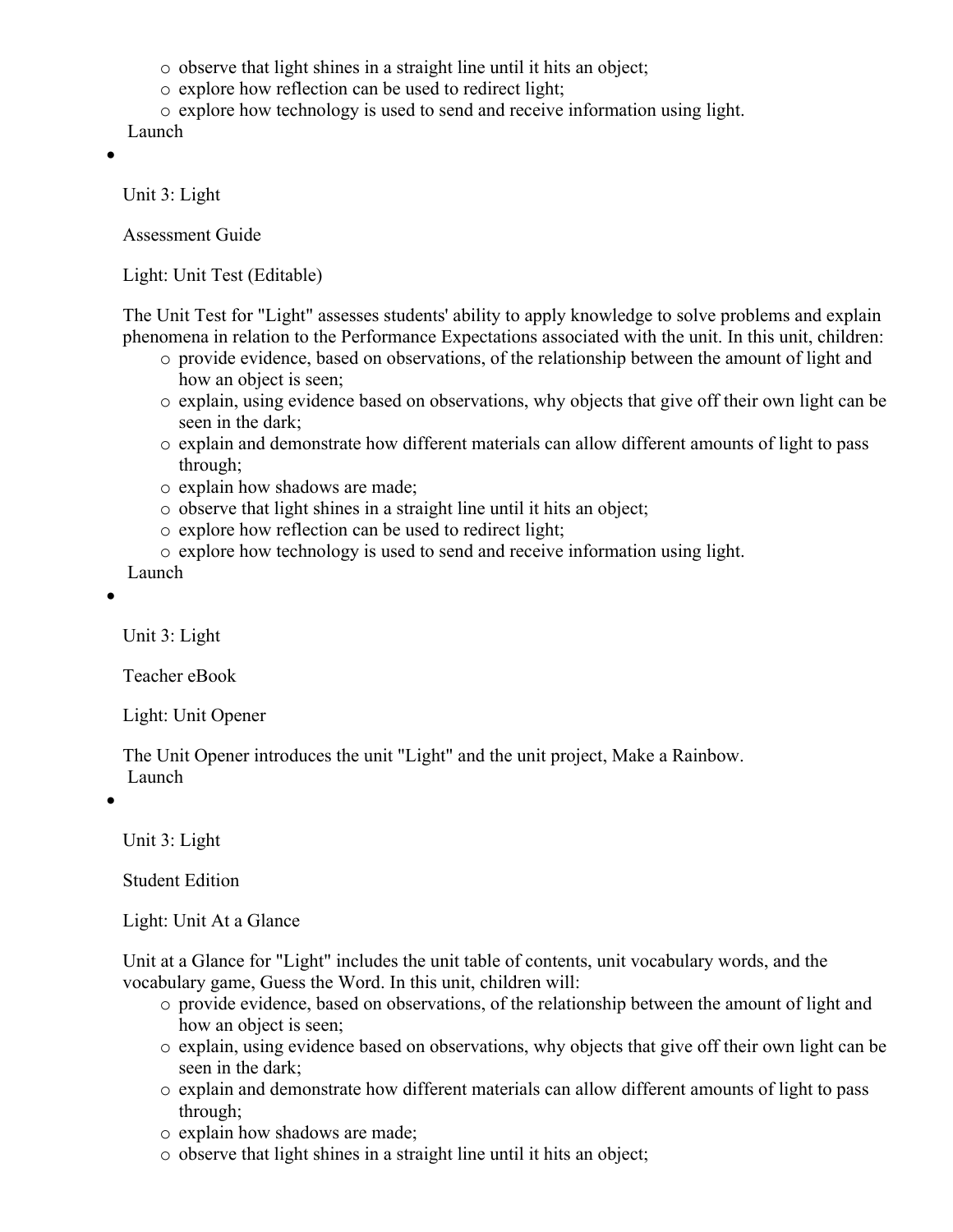o observe that light shines in a straight line until it hits an object;

- o explore how reflection can be used to redirect light;
- o explore how technology is used to send and receive information using light.

Launch

 $\bullet$ 

Unit 3: Light

Assessment Guide

Light: Unit Test (Editable)

The Unit Test for "Light" assesses students' ability to apply knowledge to solve problems and explain phenomena in relation to the Performance Expectations associated with the unit. In this unit, children:

- o provide evidence, based on observations, of the relationship between the amount of light and how an object is seen;
- o explain, using evidence based on observations, why objects that give off their own light can be seen in the dark;
- o explain and demonstrate how different materials can allow different amounts of light to pass through;
- o explain how shadows are made;
- o observe that light shines in a straight line until it hits an object;
- o explore how reflection can be used to redirect light;
- o explore how technology is used to send and receive information using light.

Launch

 $\bullet$ 

Unit 3: Light

Teacher eBook

Light: Unit Opener

The Unit Opener introduces the unit "Light" and the unit project, Make a Rainbow. Launch

 $\bullet$ 

Unit 3: Light

Student Edition

Light: Unit At a Glance

Unit at a Glance for "Light" includes the unit table of contents, unit vocabulary words, and the vocabulary game, Guess the Word. In this unit, children will:

- o provide evidence, based on observations, of the relationship between the amount of light and how an object is seen;
- o explain, using evidence based on observations, why objects that give off their own light can be seen in the dark;
- o explain and demonstrate how different materials can allow different amounts of light to pass through;
- o explain how shadows are made;
- o observe that light shines in a straight line until it hits an object;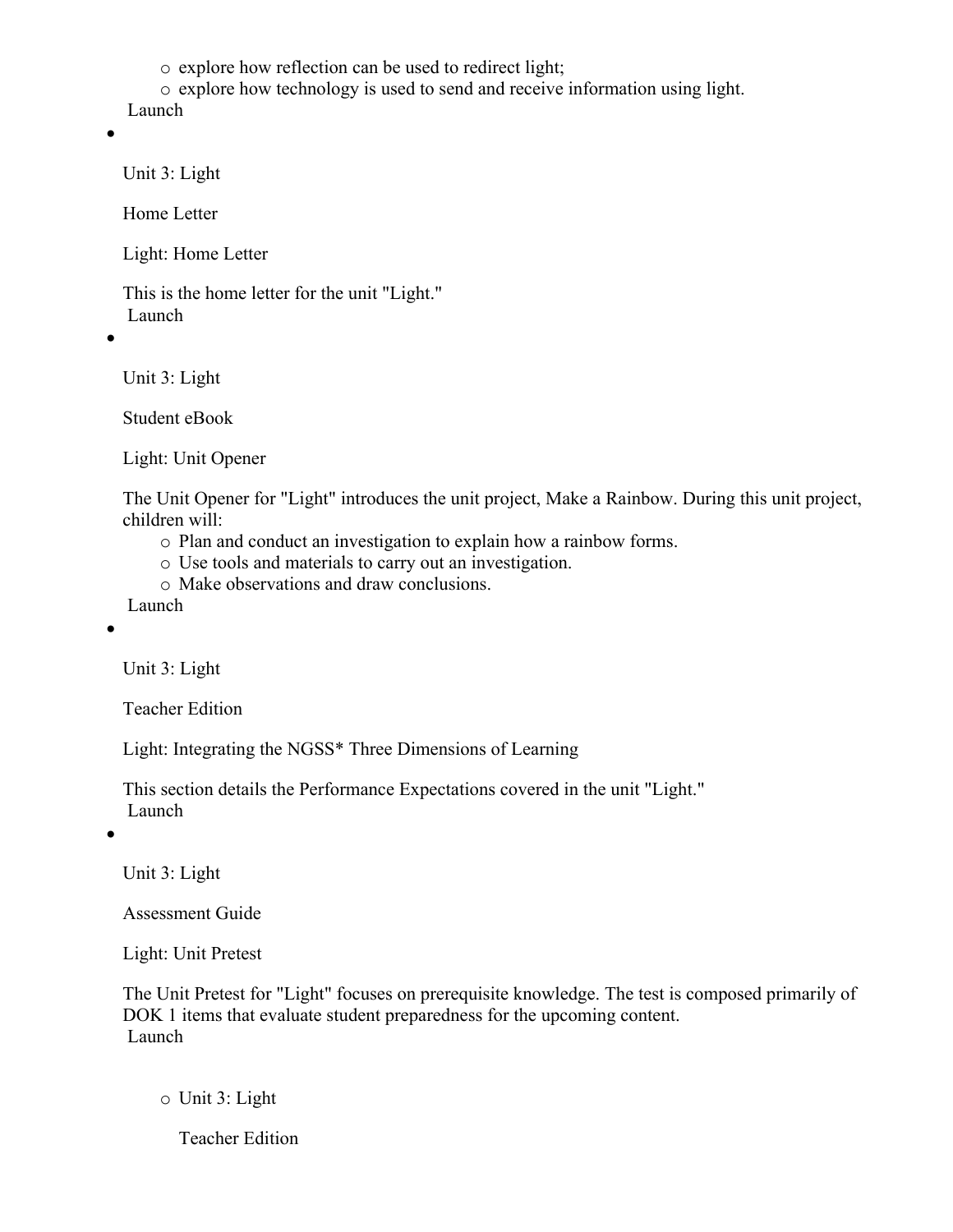o explore how reflection can be used to redirect light;

- o explore how technology is used to send and receive information using light.
- Launch
- $\bullet$

Unit 3: Light

Home Letter

Light: Home Letter

This is the home letter for the unit "Light." Launch

 $\bullet$ 

Unit 3: Light

Student eBook

Light: Unit Opener

The Unit Opener for "Light" introduces the unit project, Make a Rainbow. During this unit project, children will:

- o Plan and conduct an investigation to explain how a rainbow forms.
- o Use tools and materials to carry out an investigation.
- o Make observations and draw conclusions.

Launch

 $\bullet$ 

Unit 3: Light

Teacher Edition

Light: Integrating the NGSS\* Three Dimensions of Learning

This section details the Performance Expectations covered in the unit "Light." Launch

 $\bullet$ 

Unit 3: Light

Assessment Guide

Light: Unit Pretest

The Unit Pretest for "Light" focuses on prerequisite knowledge. The test is composed primarily of DOK 1 items that evaluate student preparedness for the upcoming content. Launch

o Unit 3: Light

Teacher Edition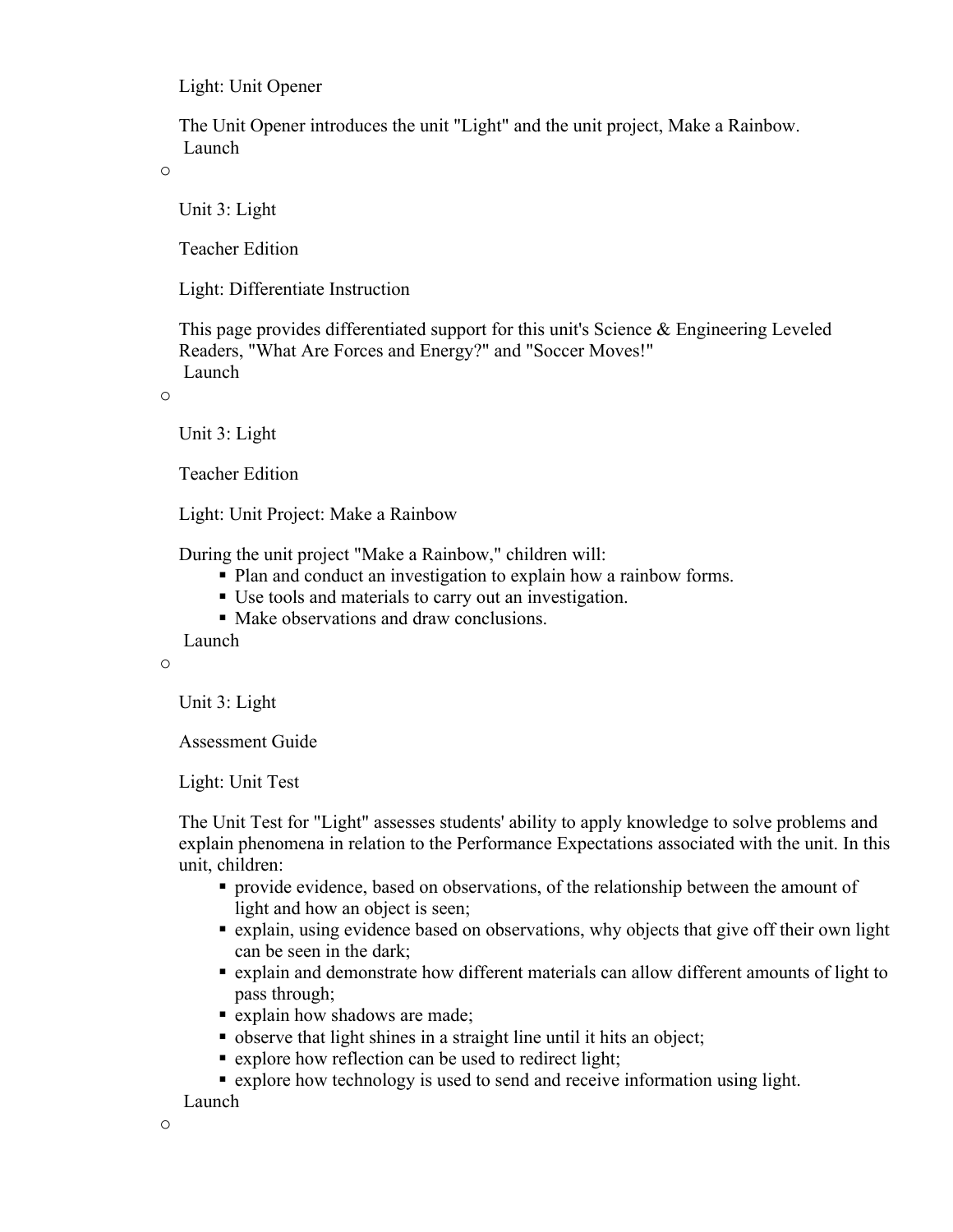Light: Unit Opener

The Unit Opener introduces the unit "Light" and the unit project, Make a Rainbow. Launch

o

Unit 3: Light

Teacher Edition

Light: Differentiate Instruction

This page provides differentiated support for this unit's Science & Engineering Leveled Readers, "What Are Forces and Energy?" and "Soccer Moves!" Launch

o

Unit 3: Light

Teacher Edition

Light: Unit Project: Make a Rainbow

During the unit project "Make a Rainbow," children will:

- Plan and conduct an investigation to explain how a rainbow forms.
- Use tools and materials to carry out an investigation.
- Make observations and draw conclusions.

Launch

o

Unit 3: Light

Assessment Guide

Light: Unit Test

The Unit Test for "Light" assesses students' ability to apply knowledge to solve problems and explain phenomena in relation to the Performance Expectations associated with the unit. In this unit, children:

- provide evidence, based on observations, of the relationship between the amount of light and how an object is seen;
- explain, using evidence based on observations, why objects that give off their own light can be seen in the dark;
- explain and demonstrate how different materials can allow different amounts of light to pass through;
- **Explain how shadows are made;**
- observe that light shines in a straight line until it hits an object;
- explore how reflection can be used to redirect light;
- explore how technology is used to send and receive information using light.

Launch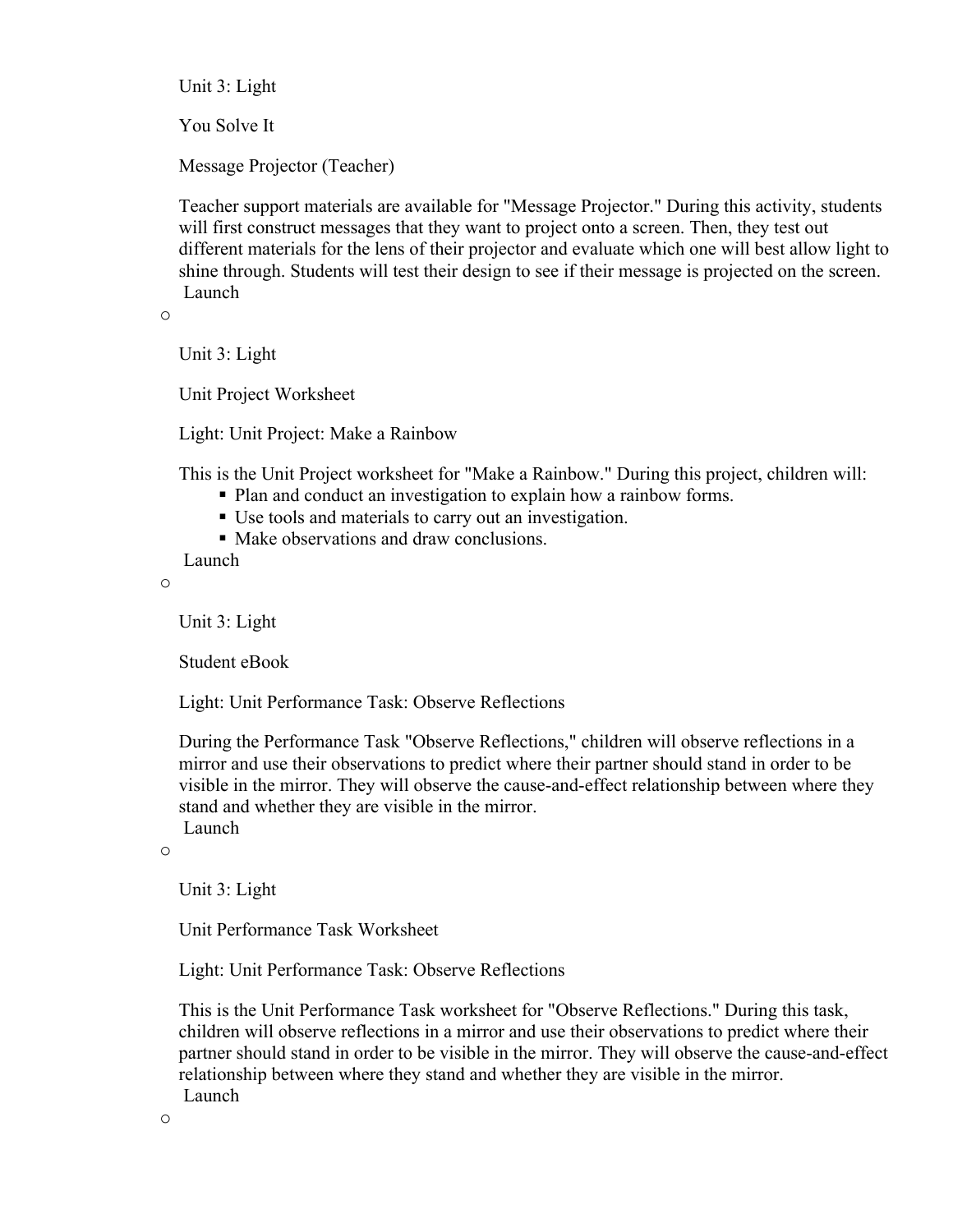Unit 3: Light

You Solve It

Message Projector (Teacher)

Teacher support materials are available for "Message Projector." During this activity, students will first construct messages that they want to project onto a screen. Then, they test out different materials for the lens of their projector and evaluate which one will best allow light to shine through. Students will test their design to see if their message is projected on the screen. Launch

o

Unit 3: Light

Unit Project Worksheet

Light: Unit Project: Make a Rainbow

This is the Unit Project worksheet for "Make a Rainbow." During this project, children will:

- Plan and conduct an investigation to explain how a rainbow forms.
- Use tools and materials to carry out an investigation.
- Make observations and draw conclusions.

Launch

o

Unit 3: Light

Student eBook

Light: Unit Performance Task: Observe Reflections

During the Performance Task "Observe Reflections," children will observe reflections in a mirror and use their observations to predict where their partner should stand in order to be visible in the mirror. They will observe the cause-and-effect relationship between where they stand and whether they are visible in the mirror.

Launch

o

Unit 3: Light

Unit Performance Task Worksheet

Light: Unit Performance Task: Observe Reflections

This is the Unit Performance Task worksheet for "Observe Reflections." During this task, children will observe reflections in a mirror and use their observations to predict where their partner should stand in order to be visible in the mirror. They will observe the cause-and-effect relationship between where they stand and whether they are visible in the mirror. Launch

o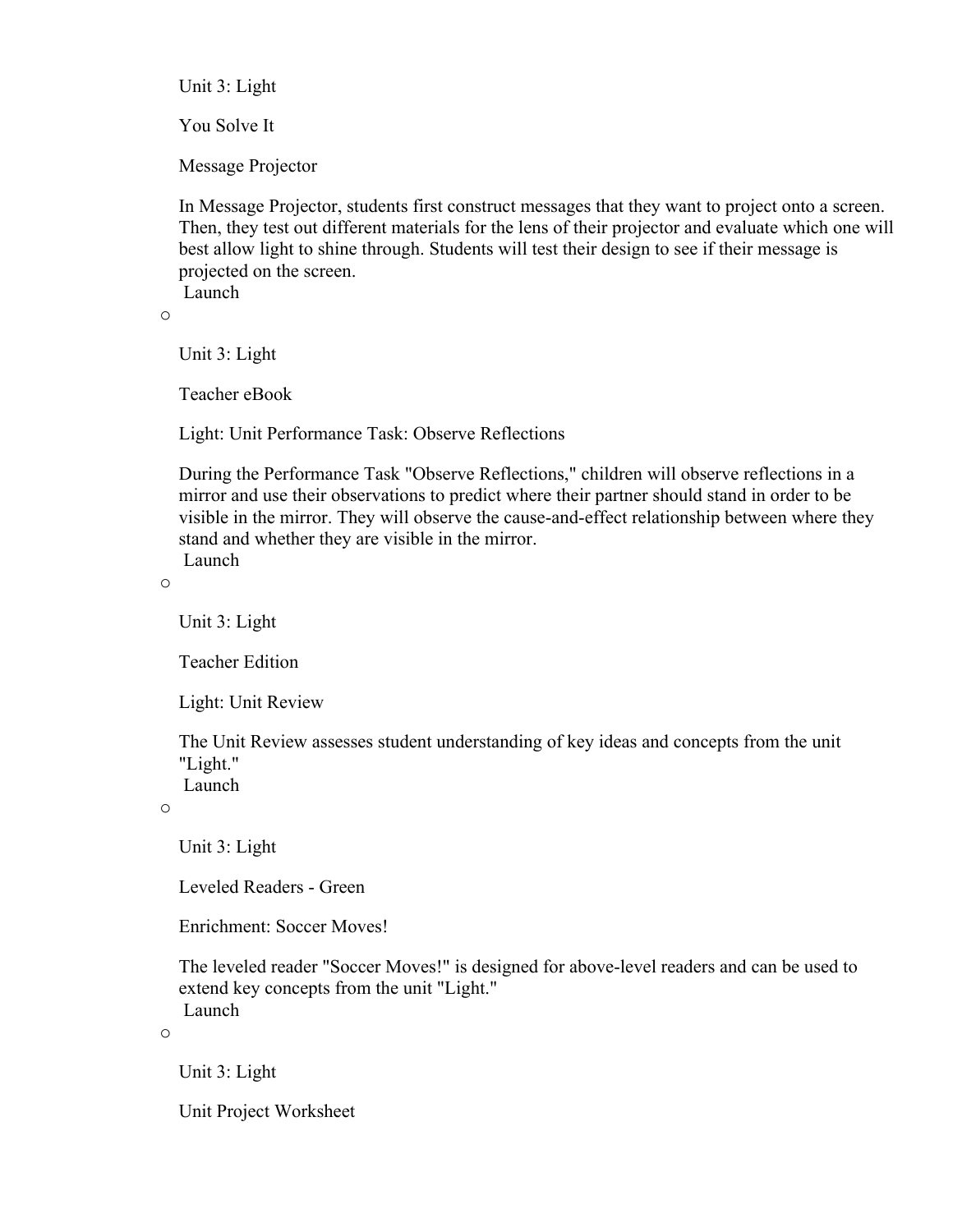Unit 3: Light

You Solve It

Message Projector

In Message Projector, students first construct messages that they want to project onto a screen. Then, they test out different materials for the lens of their projector and evaluate which one will best allow light to shine through. Students will test their design to see if their message is projected on the screen.

Launch

o

Unit 3: Light

Teacher eBook

Light: Unit Performance Task: Observe Reflections

During the Performance Task "Observe Reflections," children will observe reflections in a mirror and use their observations to predict where their partner should stand in order to be visible in the mirror. They will observe the cause-and-effect relationship between where they stand and whether they are visible in the mirror. Launch

o

Unit 3: Light

Teacher Edition

Light: Unit Review

The Unit Review assesses student understanding of key ideas and concepts from the unit "Light."

Launch

o

Unit 3: Light

Leveled Readers - Green

Enrichment: Soccer Moves!

The leveled reader "Soccer Moves!" is designed for above-level readers and can be used to extend key concepts from the unit "Light." Launch

o

Unit 3: Light

Unit Project Worksheet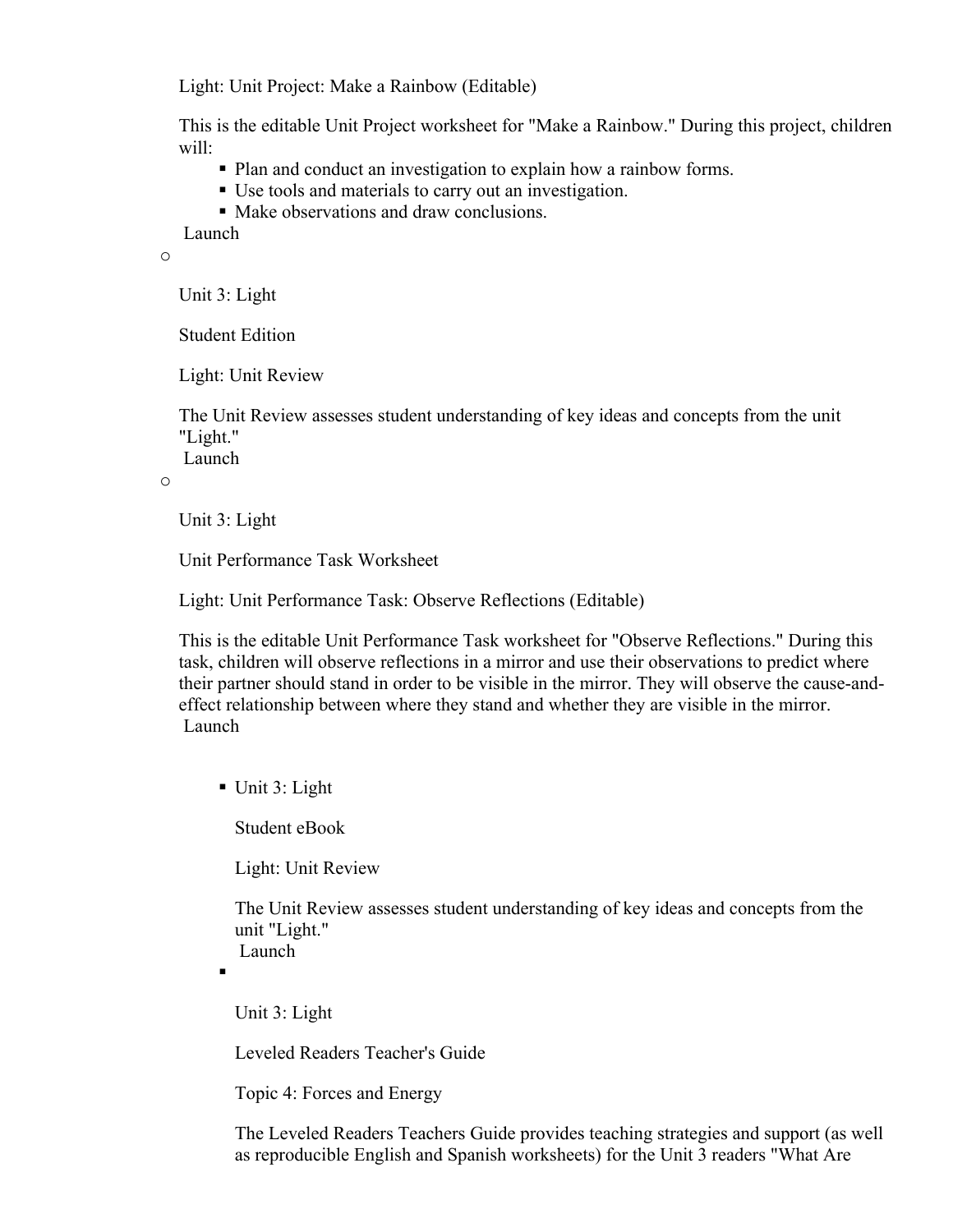Light: Unit Project: Make a Rainbow (Editable)

This is the editable Unit Project worksheet for "Make a Rainbow." During this project, children will:

- Plan and conduct an investigation to explain how a rainbow forms.
- Use tools and materials to carry out an investigation.
- Make observations and draw conclusions.

Launch

o

Unit 3: Light

Student Edition

Light: Unit Review

The Unit Review assesses student understanding of key ideas and concepts from the unit "Light."

Launch

o

Unit 3: Light

Unit Performance Task Worksheet

Light: Unit Performance Task: Observe Reflections (Editable)

This is the editable Unit Performance Task worksheet for "Observe Reflections." During this task, children will observe reflections in a mirror and use their observations to predict where their partner should stand in order to be visible in the mirror. They will observe the cause-andeffect relationship between where they stand and whether they are visible in the mirror. Launch

Unit 3: Light

Student eBook

Light: Unit Review

The Unit Review assesses student understanding of key ideas and concepts from the unit "Light." Launch

 $\blacksquare$ 

Unit 3: Light

Leveled Readers Teacher's Guide

Topic 4: Forces and Energy

The Leveled Readers Teachers Guide provides teaching strategies and support (as well as reproducible English and Spanish worksheets) for the Unit 3 readers "What Are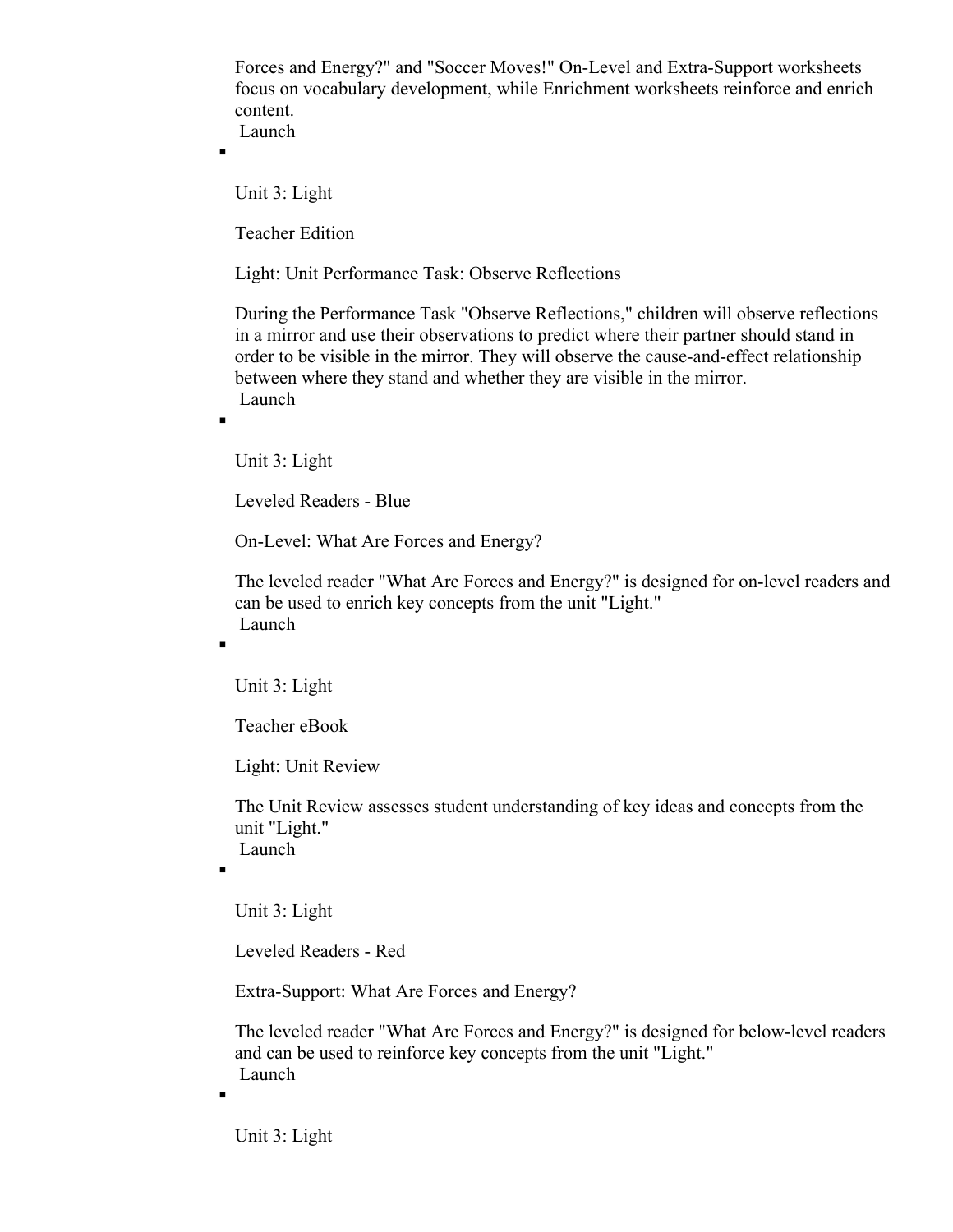Forces and Energy?" and "Soccer Moves!" On-Level and Extra-Support worksheets focus on vocabulary development, while Enrichment worksheets reinforce and enrich content. Launch

 $\blacksquare$ 

 $\blacksquare$ 

 $\blacksquare$ 

Unit 3: Light

Teacher Edition

Light: Unit Performance Task: Observe Reflections

During the Performance Task "Observe Reflections," children will observe reflections in a mirror and use their observations to predict where their partner should stand in order to be visible in the mirror. They will observe the cause-and-effect relationship between where they stand and whether they are visible in the mirror. Launch

Unit 3: Light

Leveled Readers - Blue

On-Level: What Are Forces and Energy?

The leveled reader "What Are Forces and Energy?" is designed for on-level readers and can be used to enrich key concepts from the unit "Light." Launch

Unit 3: Light

Teacher eBook

Light: Unit Review

The Unit Review assesses student understanding of key ideas and concepts from the unit "Light." Launch

 $\blacksquare$ 

 $\blacksquare$ 

Unit 3: Light

Leveled Readers - Red

Extra-Support: What Are Forces and Energy?

The leveled reader "What Are Forces and Energy?" is designed for below-level readers and can be used to reinforce key concepts from the unit "Light." Launch

Unit 3: Light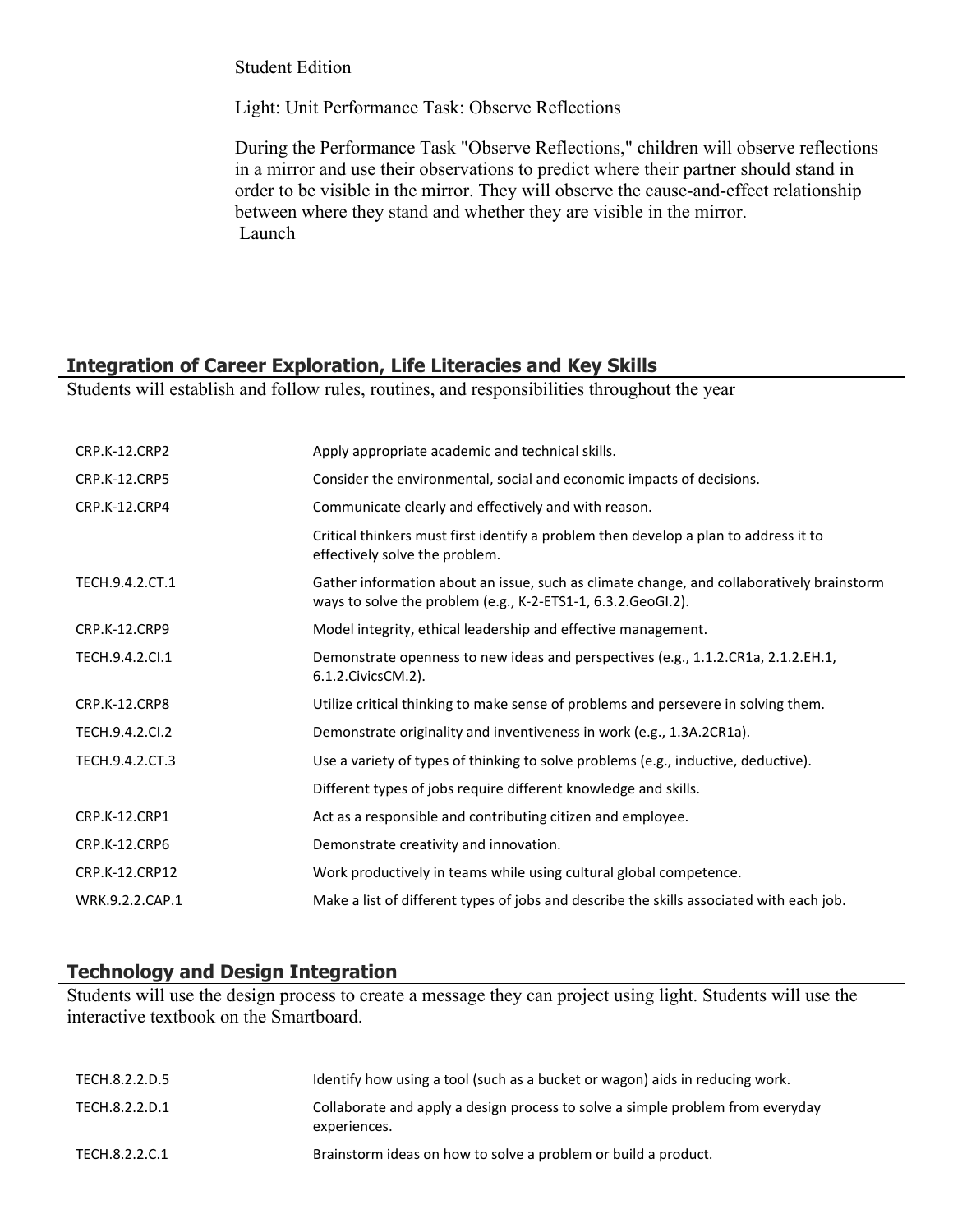Student Edition

Light: Unit Performance Task: Observe Reflections

During the Performance Task "Observe Reflections," children will observe reflections in a mirror and use their observations to predict where their partner should stand in order to be visible in the mirror. They will observe the cause-and-effect relationship between where they stand and whether they are visible in the mirror. Launch

# **Integration of Career Exploration, Life Literacies and Key Skills**

Students will establish and follow rules, routines, and responsibilities throughout the year

| CRP.K-12.CRP2        | Apply appropriate academic and technical skills.                                                                                                          |
|----------------------|-----------------------------------------------------------------------------------------------------------------------------------------------------------|
| <b>CRP.K-12.CRP5</b> | Consider the environmental, social and economic impacts of decisions.                                                                                     |
| CRP.K-12.CRP4        | Communicate clearly and effectively and with reason.                                                                                                      |
|                      | Critical thinkers must first identify a problem then develop a plan to address it to<br>effectively solve the problem.                                    |
| TECH.9.4.2.CT.1      | Gather information about an issue, such as climate change, and collaboratively brainstorm<br>ways to solve the problem (e.g., K-2-ETS1-1, 6.3.2.GeoGI.2). |
| <b>CRP.K-12.CRP9</b> | Model integrity, ethical leadership and effective management.                                                                                             |
| TECH.9.4.2.Cl.1      | Demonstrate openness to new ideas and perspectives (e.g., 1.1.2.CR1a, 2.1.2.EH.1,<br>6.1.2. Civics CM. 2).                                                |
| <b>CRP.K-12.CRP8</b> | Utilize critical thinking to make sense of problems and persevere in solving them.                                                                        |
| TECH.9.4.2.CI.2      | Demonstrate originality and inventiveness in work (e.g., 1.3A.2CR1a).                                                                                     |
| TECH.9.4.2.CT.3      | Use a variety of types of thinking to solve problems (e.g., inductive, deductive).                                                                        |
|                      | Different types of jobs require different knowledge and skills.                                                                                           |
| <b>CRP.K-12.CRP1</b> | Act as a responsible and contributing citizen and employee.                                                                                               |
| CRP.K-12.CRP6        | Demonstrate creativity and innovation.                                                                                                                    |
| CRP.K-12.CRP12       | Work productively in teams while using cultural global competence.                                                                                        |
| WRK.9.2.2.CAP.1      | Make a list of different types of jobs and describe the skills associated with each job.                                                                  |

# **Technology and Design Integration**

Students will use the design process to create a message they can project using light. Students will use the interactive textbook on the Smartboard.

| TECH.8.2.2.D.5 | Identify how using a tool (such as a bucket or wagon) aids in reducing work.                   |
|----------------|------------------------------------------------------------------------------------------------|
| TECH.8.2.2.D.1 | Collaborate and apply a design process to solve a simple problem from everyday<br>experiences. |
| TECH.8.2.2.C.1 | Brainstorm ideas on how to solve a problem or build a product.                                 |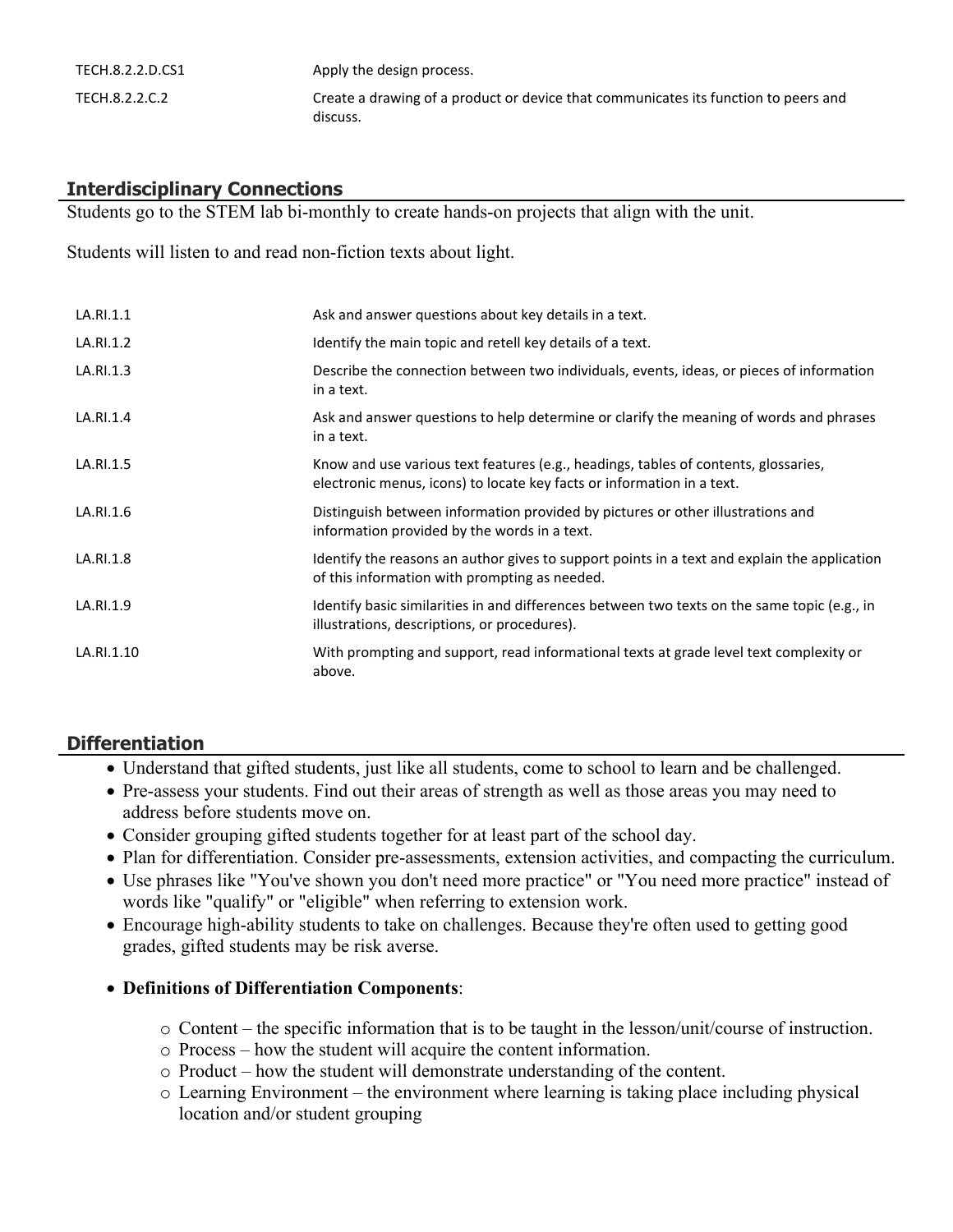| TECH.8.2.2.D.CS1 | Apply the design process.                                                                       |
|------------------|-------------------------------------------------------------------------------------------------|
| TECH.8.2.2.C.2   | Create a drawing of a product or device that communicates its function to peers and<br>discuss. |

# **Interdisciplinary Connections**

Students go to the STEM lab bi-monthly to create hands-on projects that align with the unit.

Students will listen to and read non-fiction texts about light.

| LA.RI.1.1  | Ask and answer questions about key details in a text.                                                                                                         |
|------------|---------------------------------------------------------------------------------------------------------------------------------------------------------------|
| LA.RI.1.2  | Identify the main topic and retell key details of a text.                                                                                                     |
| LA.RI.1.3  | Describe the connection between two individuals, events, ideas, or pieces of information<br>in a text.                                                        |
| LA.RI.1.4  | Ask and answer questions to help determine or clarify the meaning of words and phrases<br>in a text.                                                          |
| LA.RI.1.5  | Know and use various text features (e.g., headings, tables of contents, glossaries,<br>electronic menus, icons) to locate key facts or information in a text. |
| LA.RI.1.6  | Distinguish between information provided by pictures or other illustrations and<br>information provided by the words in a text.                               |
| LA.RI.1.8  | Identify the reasons an author gives to support points in a text and explain the application<br>of this information with prompting as needed.                 |
| LA.RI.1.9  | Identify basic similarities in and differences between two texts on the same topic (e.g., in<br>illustrations, descriptions, or procedures).                  |
| LA.RI.1.10 | With prompting and support, read informational texts at grade level text complexity or<br>above.                                                              |

# **Differentiation**

- Understand that gifted students, just like all students, come to school to learn and be challenged.
- Pre-assess your students. Find out their areas of strength as well as those areas you may need to address before students move on.
- Consider grouping gifted students together for at least part of the school day.
- Plan for differentiation. Consider pre-assessments, extension activities, and compacting the curriculum.
- Use phrases like "You've shown you don't need more practice" or "You need more practice" instead of words like "qualify" or "eligible" when referring to extension work.
- Encourage high-ability students to take on challenges. Because they're often used to getting good grades, gifted students may be risk averse.

# **Definitions of Differentiation Components**:

- o Content the specific information that is to be taught in the lesson/unit/course of instruction.
- o Process how the student will acquire the content information.
- o Product how the student will demonstrate understanding of the content.
- o Learning Environment the environment where learning is taking place including physical location and/or student grouping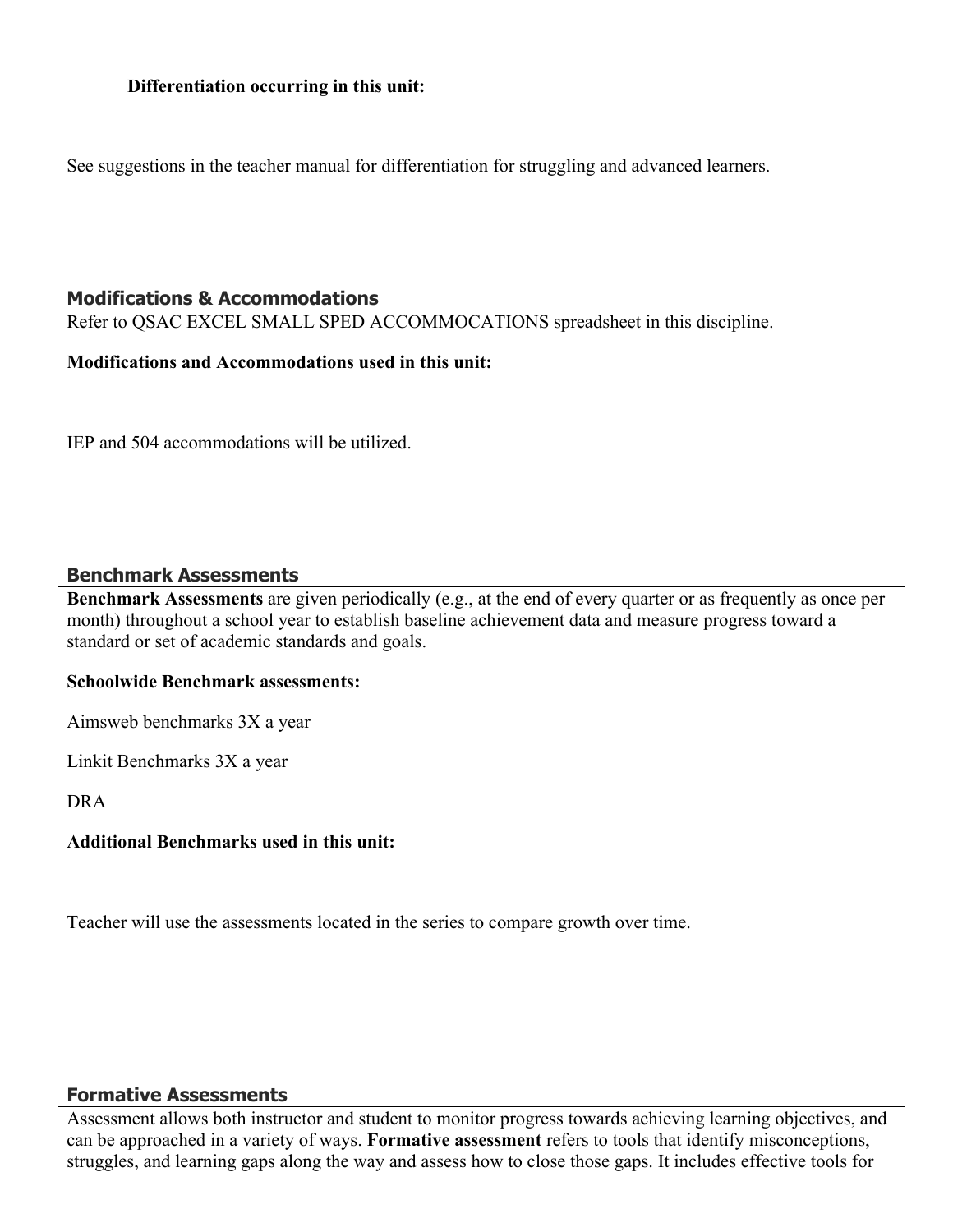See suggestions in the teacher manual for differentiation for struggling and advanced learners.

# **Modifications & Accommodations**

Refer to QSAC EXCEL SMALL SPED ACCOMMOCATIONS spreadsheet in this discipline.

#### **Modifications and Accommodations used in this unit:**

IEP and 504 accommodations will be utilized.

# **Benchmark Assessments**

**Benchmark Assessments** are given periodically (e.g., at the end of every quarter or as frequently as once per month) throughout a school year to establish baseline achievement data and measure progress toward a standard or set of academic standards and goals.

# **Schoolwide Benchmark assessments:**

Aimsweb benchmarks 3X a year

Linkit Benchmarks 3X a year

DRA

# **Additional Benchmarks used in this unit:**

Teacher will use the assessments located in the series to compare growth over time.

# **Formative Assessments**

Assessment allows both instructor and student to monitor progress towards achieving learning objectives, and can be approached in a variety of ways. **Formative assessment** refers to tools that identify misconceptions, struggles, and learning gaps along the way and assess how to close those gaps. It includes effective tools for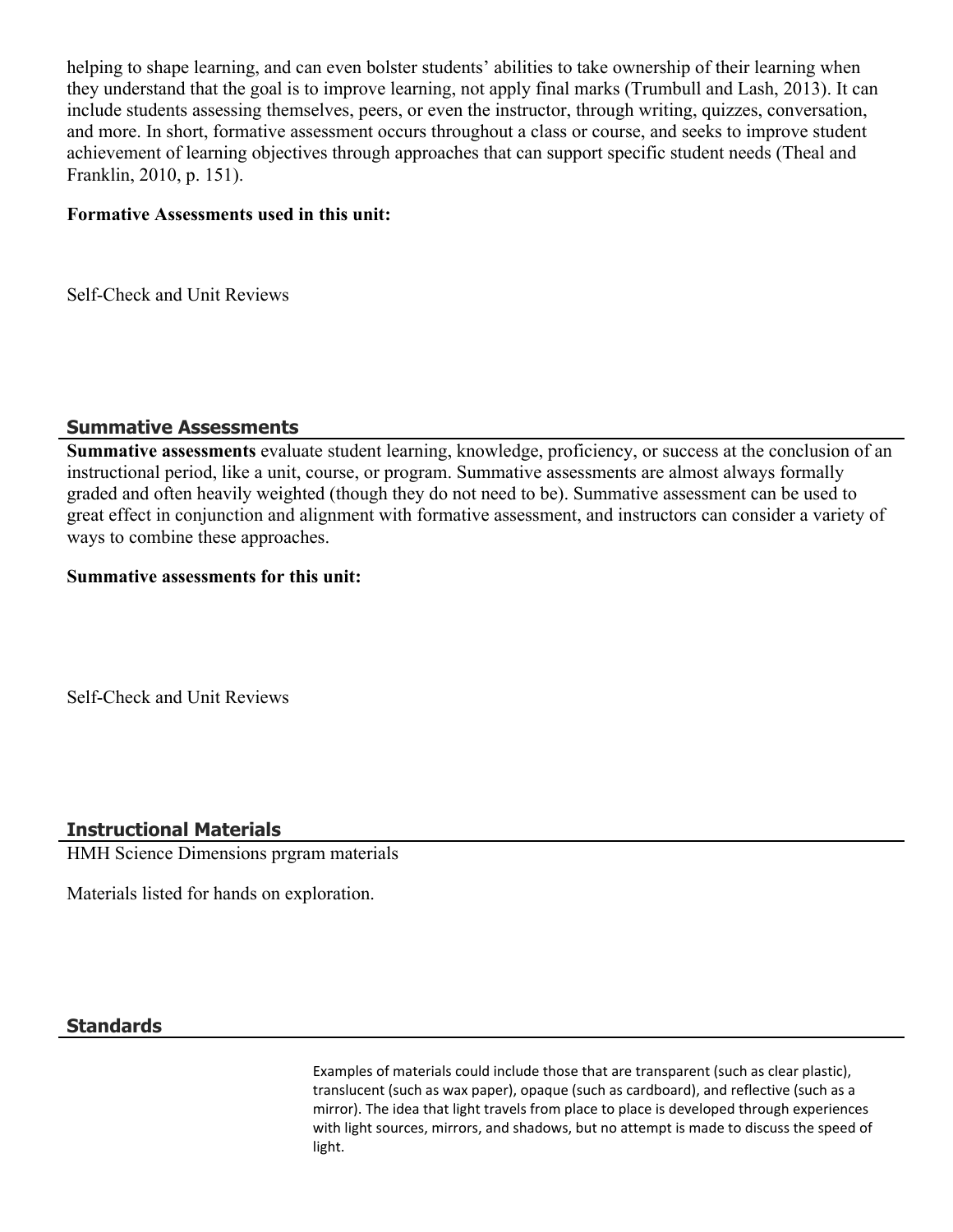helping to shape learning, and can even bolster students' abilities to take ownership of their learning when they understand that the goal is to improve learning, not apply final marks (Trumbull and Lash, 2013). It can include students assessing themselves, peers, or even the instructor, through writing, quizzes, conversation, and more. In short, formative assessment occurs throughout a class or course, and seeks to improve student achievement of learning objectives through approaches that can support specific student needs (Theal and Franklin, 2010, p. 151).

#### **Formative Assessments used in this unit:**

Self-Check and Unit Reviews

# **Summative Assessments**

**Summative assessments** evaluate student learning, knowledge, proficiency, or success at the conclusion of an instructional period, like a unit, course, or program. Summative assessments are almost always formally graded and often heavily weighted (though they do not need to be). Summative assessment can be used to great effect in conjunction and alignment with formative assessment, and instructors can consider a variety of ways to combine these approaches.

# **Summative assessments for this unit:**

Self-Check and Unit Reviews

# **Instructional Materials**

HMH Science Dimensions prgram materials

Materials listed for hands on exploration.

# **Standards**

Examples of materials could include those that are transparent (such as clear plastic), translucent (such as wax paper), opaque (such as cardboard), and reflective (such as a mirror). The idea that light travels from place to place is developed through experiences with light sources, mirrors, and shadows, but no attempt is made to discuss the speed of light.